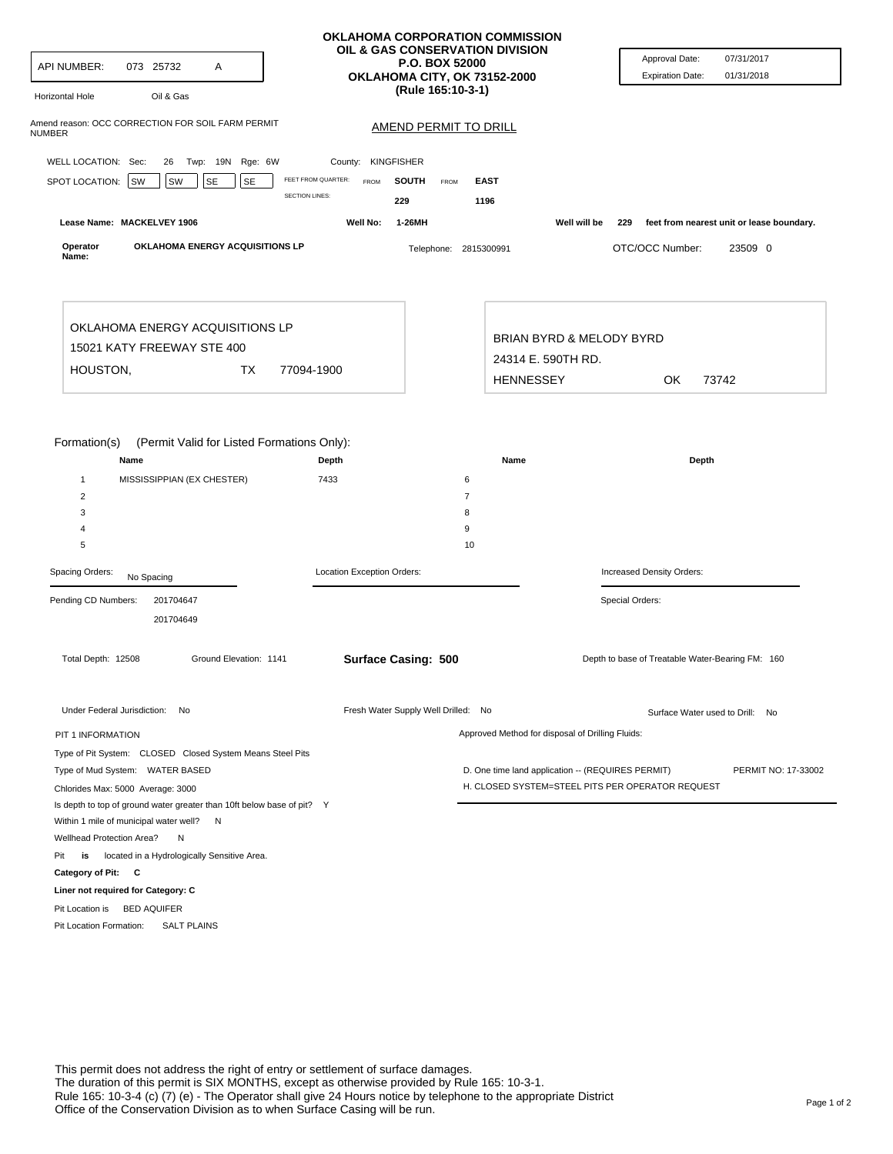| API NUMBER:<br>073 25732<br>Α<br>Oil & Gas<br><b>Horizontal Hole</b>                                                  | OKLAHOMA CORPORATION COMMISSION<br>OIL & GAS CONSERVATION DIVISION<br><b>P.O. BOX 52000</b><br>OKLAHOMA CITY, OK 73152-2000<br>(Rule 165:10-3-1) |                                                                                                       | Approval Date:<br>07/31/2017<br><b>Expiration Date:</b><br>01/31/2018 |
|-----------------------------------------------------------------------------------------------------------------------|--------------------------------------------------------------------------------------------------------------------------------------------------|-------------------------------------------------------------------------------------------------------|-----------------------------------------------------------------------|
| Amend reason: OCC CORRECTION FOR SOIL FARM PERMIT<br>NUMBER                                                           | <b>AMEND PERMIT TO DRILL</b>                                                                                                                     |                                                                                                       |                                                                       |
|                                                                                                                       |                                                                                                                                                  |                                                                                                       |                                                                       |
| WELL LOCATION: Sec:<br>26 Twp: 19N Rge: 6W                                                                            | County: KINGFISHER                                                                                                                               |                                                                                                       |                                                                       |
| FEET FROM QUARTER:<br>SPOT LOCATION: SW<br>SW<br><b>SE</b><br>SE<br><b>SECTION LINES:</b>                             | <b>SOUTH</b><br><b>FROM</b><br><b>FROM</b><br>229                                                                                                | <b>EAST</b><br>1196                                                                                   |                                                                       |
| Lease Name: MACKELVEY 1906                                                                                            | Well No:<br>1-26MH                                                                                                                               | Well will be                                                                                          | 229<br>feet from nearest unit or lease boundary.                      |
| OKLAHOMA ENERGY ACQUISITIONS LP<br>Operator<br>Name:                                                                  | Telephone: 2815300991                                                                                                                            |                                                                                                       | OTC/OCC Number:<br>23509 0                                            |
| OKLAHOMA ENERGY ACQUISITIONS LP                                                                                       |                                                                                                                                                  |                                                                                                       |                                                                       |
| 15021 KATY FREEWAY STE 400                                                                                            |                                                                                                                                                  | BRIAN BYRD & MELODY BYRD                                                                              |                                                                       |
| HOUSTON,<br>ТX<br>77094-1900                                                                                          |                                                                                                                                                  | 24314 E. 590TH RD.                                                                                    |                                                                       |
|                                                                                                                       |                                                                                                                                                  | <b>HENNESSEY</b>                                                                                      | OK<br>73742                                                           |
| $\overline{2}$<br>3<br>4<br>5                                                                                         |                                                                                                                                                  | $\overline{7}$<br>8<br>9<br>10                                                                        |                                                                       |
| Spacing Orders:<br>No Spacing                                                                                         | Location Exception Orders:                                                                                                                       |                                                                                                       | Increased Density Orders:                                             |
| Pending CD Numbers:<br>201704647<br>201704649                                                                         |                                                                                                                                                  |                                                                                                       | Special Orders:                                                       |
| Total Depth: 12508<br>Ground Elevation: 1141                                                                          | <b>Surface Casing: 500</b>                                                                                                                       |                                                                                                       | Depth to base of Treatable Water-Bearing FM: 160                      |
| Under Federal Jurisdiction: No                                                                                        | Fresh Water Supply Well Drilled: No                                                                                                              |                                                                                                       | Surface Water used to Drill: No                                       |
| PIT 1 INFORMATION                                                                                                     |                                                                                                                                                  | Approved Method for disposal of Drilling Fluids:                                                      |                                                                       |
| Type of Pit System: CLOSED Closed System Means Steel Pits                                                             |                                                                                                                                                  |                                                                                                       |                                                                       |
| Type of Mud System: WATER BASED<br>Chlorides Max: 5000 Average: 3000                                                  |                                                                                                                                                  | D. One time land application -- (REQUIRES PERMIT)<br>H. CLOSED SYSTEM=STEEL PITS PER OPERATOR REQUEST | PERMIT NO: 17-33002                                                   |
| Is depth to top of ground water greater than 10ft below base of pit? Y<br>Within 1 mile of municipal water well?<br>N |                                                                                                                                                  |                                                                                                       |                                                                       |
| Wellhead Protection Area?<br>N                                                                                        |                                                                                                                                                  |                                                                                                       |                                                                       |
| located in a Hydrologically Sensitive Area.<br>Pit<br>is                                                              |                                                                                                                                                  |                                                                                                       |                                                                       |
| Category of Pit: C                                                                                                    |                                                                                                                                                  |                                                                                                       |                                                                       |
| Liner not required for Category: C                                                                                    |                                                                                                                                                  |                                                                                                       |                                                                       |
| <b>BED AQUIFER</b><br>Pit Location is<br>Pit Location Formation:<br><b>SALT PLAINS</b>                                |                                                                                                                                                  |                                                                                                       |                                                                       |
|                                                                                                                       |                                                                                                                                                  |                                                                                                       |                                                                       |